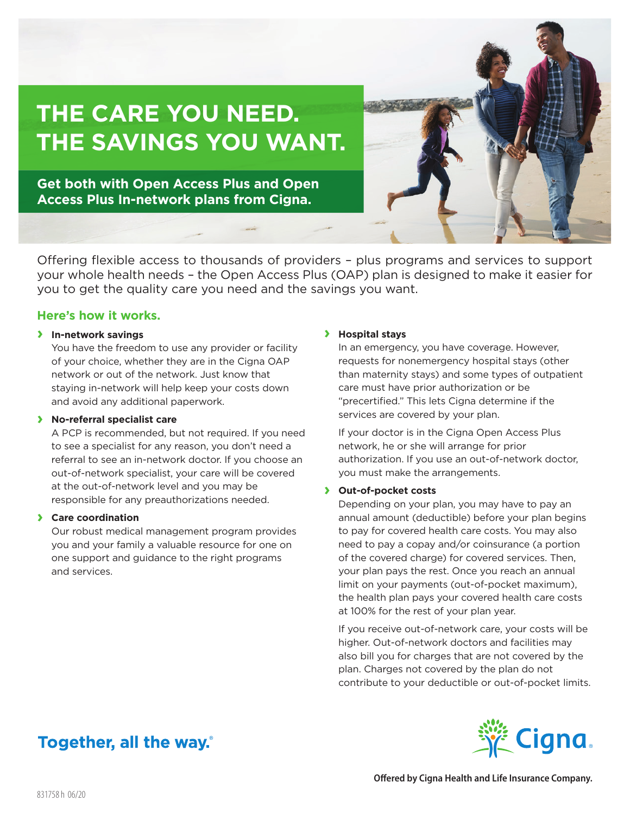

**Get both with Open Access Plus and Open Access Plus In-network plans from Cigna.**

**THE CARE YOU NEED.** 

Offering flexible access to thousands of providers – plus programs and services to support your whole health needs – the Open Access Plus (OAP) plan is designed to make it easier for you to get the quality care you need and the savings you want.

# **Here's how it works.**

### **› In-network savings**

You have the freedom to use any provider or facility of your choice, whether they are in the Cigna OAP network or out of the network. Just know that staying in-network will help keep your costs down and avoid any additional paperwork.

### **› No-referral specialist care**

A PCP is recommended, but not required. If you need to see a specialist for any reason, you don't need a referral to see an in-network doctor. If you choose an out-of-network specialist, your care will be covered at the out-of-network level and you may be responsible for any preauthorizations needed.

### **› Care coordination**

Our robust medical management program provides you and your family a valuable resource for one on one support and guidance to the right programs and services.

#### **› Hospital stays**

In an emergency, you have coverage. However, requests for nonemergency hospital stays (other than maternity stays) and some types of outpatient care must have prior authorization or be "precertified." This lets Cigna determine if the services are covered by your plan.

If your doctor is in the Cigna Open Access Plus network, he or she will arrange for prior authorization. If you use an out-of-network doctor, you must make the arrangements.

### **› Out-of-pocket costs**

Depending on your plan, you may have to pay an annual amount (deductible) before your plan begins to pay for covered health care costs. You may also need to pay a copay and/or coinsurance (a portion of the covered charge) for covered services. Then, your plan pays the rest. Once you reach an annual limit on your payments (out-of-pocket maximum), the health plan pays your covered health care costs at 100% for the rest of your plan year.

If you receive out-of-network care, your costs will be higher. Out-of-network doctors and facilities may also bill you for charges that are not covered by the plan. Charges not covered by the plan do not contribute to your deductible or out-of-pocket limits.

# Together, all the way.



**Offered by Cigna Health and Life Insurance Company.**